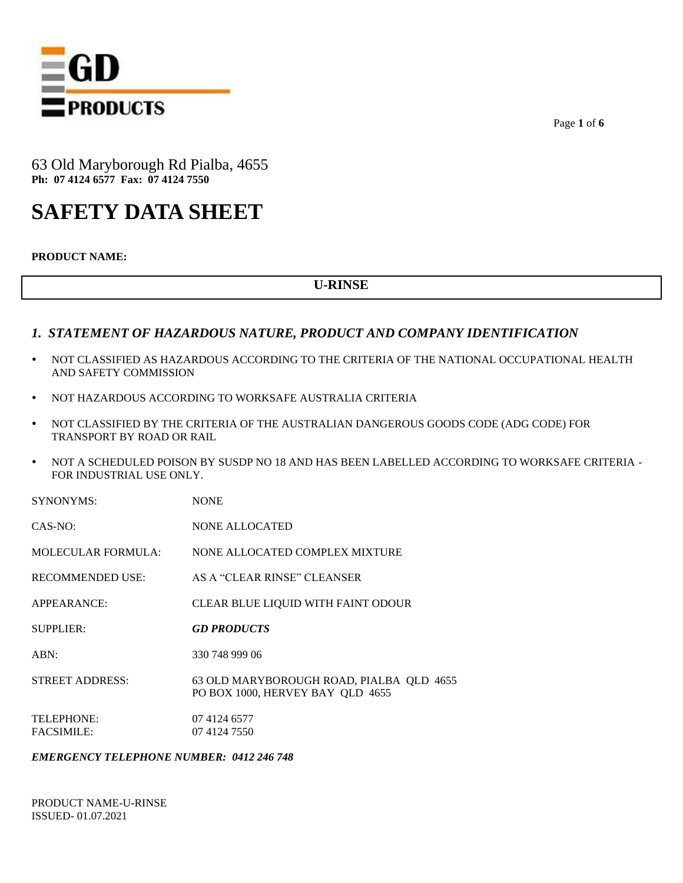

Page **1** of **6**

63 Old Maryborough Rd Pialba, 4655 **Ph: 07 4124 6577 Fax: 07 4124 7550**

# **SAFETY DATA SHEET**

**PRODUCT NAME:**

# **U-RINSE**

### *1. STATEMENT OF HAZARDOUS NATURE, PRODUCT AND COMPANY IDENTIFICATION*

- NOT CLASSIFIED AS HAZARDOUS ACCORDING TO THE CRITERIA OF THE NATIONAL OCCUPATIONAL HEALTH AND SAFETY COMMISSION
- NOT HAZARDOUS ACCORDING TO WORKSAFE AUSTRALIA CRITERIA
- NOT CLASSIFIED BY THE CRITERIA OF THE AUSTRALIAN DANGEROUS GOODS CODE (ADG CODE) FOR TRANSPORT BY ROAD OR RAIL
- NOT A SCHEDULED POISON BY SUSDP NO 18 AND HAS BEEN LABELLED ACCORDING TO WORKSAFE CRITERIA FOR INDUSTRIAL USE ONLY.

| <b>SYNONYMS:</b>                | <b>NONE</b>                                                                  |
|---------------------------------|------------------------------------------------------------------------------|
| $CAS-NO:$                       | <b>NONE ALLOCATED</b>                                                        |
| MOLECULAR FORMULA:              | NONE ALLOCATED COMPLEX MIXTURE                                               |
| RECOMMENDED USE:                | AS A "CLEAR RINSE" CLEANSER                                                  |
| APPEARANCE:                     | CLEAR BLUE LIQUID WITH FAINT ODOUR                                           |
| SUPPLIER:                       | <b>GD PRODUCTS</b>                                                           |
| ABN:                            | 330 748 999 06                                                               |
| <b>STREET ADDRESS:</b>          | 63 OLD MARYBOROUGH ROAD, PIALBA QLD 4655<br>PO BOX 1000, HERVEY BAY QLD 4655 |
| TELEPHONE:<br><b>FACSIMILE:</b> | 07 4124 6577<br>07 4124 7550                                                 |

#### *EMERGENCY TELEPHONE NUMBER: 0412 246 748*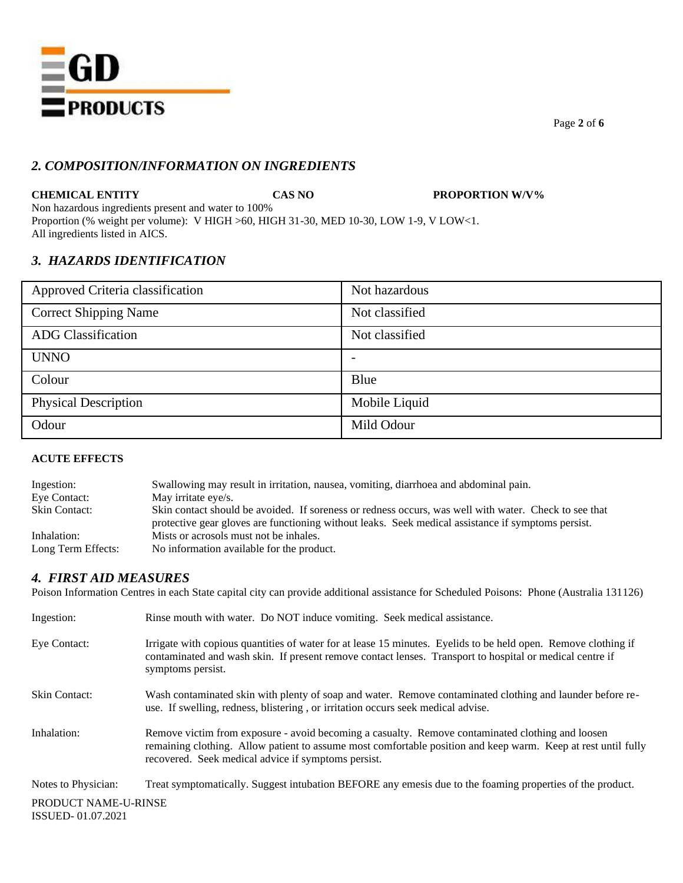

Page **2** of **6**

# *2. COMPOSITION/INFORMATION ON INGREDIENTS*

**CHEMICAL ENTITY CAS NO PROPORTION W/V%**

Non hazardous ingredients present and water to 100% Proportion (% weight per volume): V HIGH >60, HIGH 31-30, MED 10-30, LOW 1-9, V LOW<1. All ingredients listed in AICS.

# *3. HAZARDS IDENTIFICATION*

| Approved Criteria classification | Not hazardous  |
|----------------------------------|----------------|
| <b>Correct Shipping Name</b>     | Not classified |
| <b>ADG</b> Classification        | Not classified |
| <b>UNNO</b>                      |                |
| Colour                           | Blue           |
| <b>Physical Description</b>      | Mobile Liquid  |
| Odour                            | Mild Odour     |

#### **ACUTE EFFECTS**

| Ingestion:           | Swallowing may result in irritation, nausea, vomiting, diarrhoea and abdominal pain.                                                                                                                        |
|----------------------|-------------------------------------------------------------------------------------------------------------------------------------------------------------------------------------------------------------|
| Eye Contact:         | May irritate eye/s.                                                                                                                                                                                         |
| <b>Skin Contact:</b> | Skin contact should be avoided. If soreness or redness occurs, was well with water. Check to see that<br>protective gear gloves are functioning without leaks. Seek medical assistance if symptoms persist. |
| Inhalation:          | Mists or acrosols must not be inhales.                                                                                                                                                                      |
| Long Term Effects:   | No information available for the product.                                                                                                                                                                   |

# *4. FIRST AID MEASURES*

Poison Information Centres in each State capital city can provide additional assistance for Scheduled Poisons: Phone (Australia 131126)

| Ingestion:                                | Rinse mouth with water. Do NOT induce vomiting. Seek medical assistance.                                                                                                                                                                                                 |
|-------------------------------------------|--------------------------------------------------------------------------------------------------------------------------------------------------------------------------------------------------------------------------------------------------------------------------|
| Eye Contact:                              | Irrigate with copious quantities of water for at lease 15 minutes. Eyelids to be held open. Remove clothing if<br>contaminated and wash skin. If present remove contact lenses. Transport to hospital or medical centre if<br>symptoms persist.                          |
| <b>Skin Contact:</b>                      | Wash contaminated skin with plenty of soap and water. Remove contaminated clothing and launder before re-<br>use. If swelling, redness, blistering, or irritation occurs seek medical advise.                                                                            |
| Inhalation:                               | Remove victim from exposure - avoid becoming a casualty. Remove contaminated clothing and loosen<br>remaining clothing. Allow patient to assume most comfortable position and keep warm. Keep at rest until fully<br>recovered. Seek medical advice if symptoms persist. |
| Notes to Physician:                       | Treat symptomatically. Suggest intubation BEFORE any emesis due to the foaming properties of the product.                                                                                                                                                                |
| PRODUCT NAME-U-RINSE<br>ISSUED-01.07.2021 |                                                                                                                                                                                                                                                                          |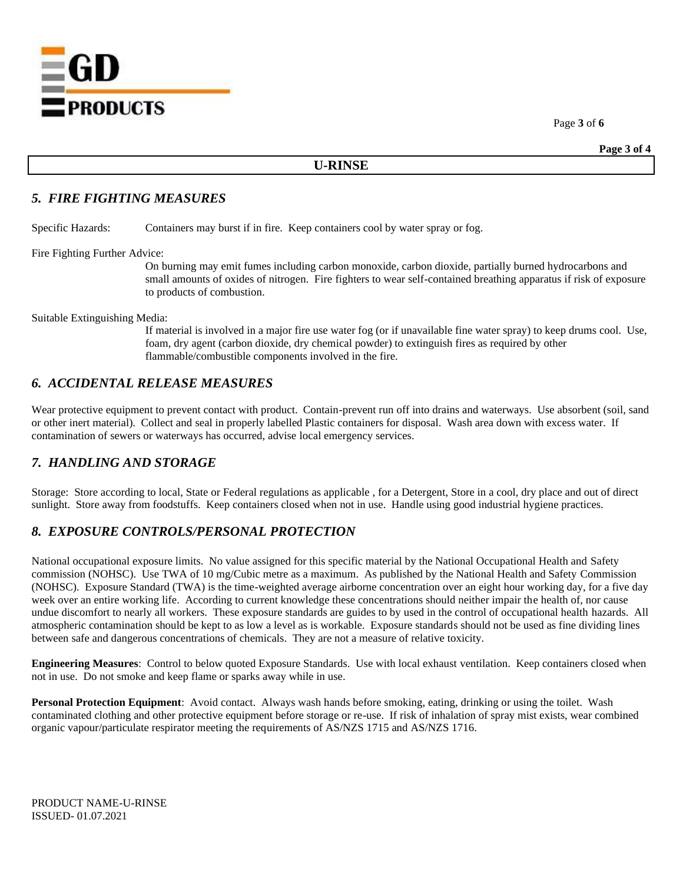=GD **EPRODUCTS** 

Page **3** of **6**

#### **U-RINSE**

#### *5. FIRE FIGHTING MEASURES*

Specific Hazards: Containers may burst if in fire. Keep containers cool by water spray or fog.

Fire Fighting Further Advice:

On burning may emit fumes including carbon monoxide, carbon dioxide, partially burned hydrocarbons and small amounts of oxides of nitrogen. Fire fighters to wear self-contained breathing apparatus if risk of exposure to products of combustion.

Suitable Extinguishing Media:

If material is involved in a major fire use water fog (or if unavailable fine water spray) to keep drums cool. Use, foam, dry agent (carbon dioxide, dry chemical powder) to extinguish fires as required by other flammable/combustible components involved in the fire.

# *6. ACCIDENTAL RELEASE MEASURES*

Wear protective equipment to prevent contact with product. Contain-prevent run off into drains and waterways. Use absorbent (soil, sand or other inert material). Collect and seal in properly labelled Plastic containers for disposal. Wash area down with excess water. If contamination of sewers or waterways has occurred, advise local emergency services.

# *7. HANDLING AND STORAGE*

Storage: Store according to local, State or Federal regulations as applicable , for a Detergent, Store in a cool, dry place and out of direct sunlight. Store away from foodstuffs. Keep containers closed when not in use. Handle using good industrial hygiene practices.

### *8. EXPOSURE CONTROLS/PERSONAL PROTECTION*

National occupational exposure limits. No value assigned for this specific material by the National Occupational Health and Safety commission (NOHSC). Use TWA of 10 mg/Cubic metre as a maximum. As published by the National Health and Safety Commission (NOHSC). Exposure Standard (TWA) is the time-weighted average airborne concentration over an eight hour working day, for a five day week over an entire working life. According to current knowledge these concentrations should neither impair the health of, nor cause undue discomfort to nearly all workers. These exposure standards are guides to by used in the control of occupational health hazards. All atmospheric contamination should be kept to as low a level as is workable. Exposure standards should not be used as fine dividing lines between safe and dangerous concentrations of chemicals. They are not a measure of relative toxicity.

**Engineering Measures**: Control to below quoted Exposure Standards. Use with local exhaust ventilation. Keep containers closed when not in use. Do not smoke and keep flame or sparks away while in use.

**Personal Protection Equipment**: Avoid contact. Always wash hands before smoking, eating, drinking or using the toilet. Wash contaminated clothing and other protective equipment before storage or re-use. If risk of inhalation of spray mist exists, wear combined organic vapour/particulate respirator meeting the requirements of AS/NZS 1715 and AS/NZS 1716.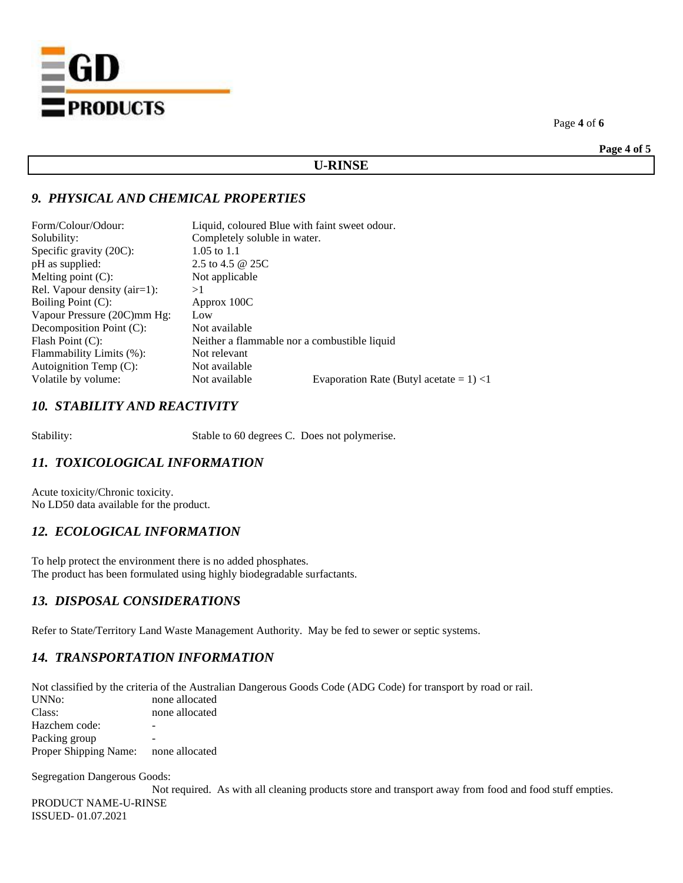

Page **4** of **6**

**Page 4 of 5**

#### **U-RINSE**

# *9. PHYSICAL AND CHEMICAL PROPERTIES*

| Form/Colour/Odour:              | Liquid, coloured Blue with faint sweet odour. |                                             |  |
|---------------------------------|-----------------------------------------------|---------------------------------------------|--|
| Solubility:                     | Completely soluble in water.                  |                                             |  |
| Specific gravity (20C):         | 1.05 to 1.1                                   |                                             |  |
| pH as supplied:                 | 2.5 to 4.5 $\omega$ 25C                       |                                             |  |
| Melting point $(C)$ :           | Not applicable                                |                                             |  |
| Rel. Vapour density $(air=1)$ : | >1                                            |                                             |  |
| Boiling Point (C):              | Approx 100C                                   |                                             |  |
| Vapour Pressure (20C)mm Hg:     | Low                                           |                                             |  |
| Decomposition Point (C):        | Not available                                 |                                             |  |
| Flash Point $(C)$ :             | Neither a flammable nor a combustible liquid  |                                             |  |
| Flammability Limits (%):        | Not relevant                                  |                                             |  |
| Autoignition Temp $(C)$ :       | Not available                                 |                                             |  |
| Volatile by volume:             | Not available                                 | Evaporation Rate (Butyl acetate = $1$ ) < 1 |  |
|                                 |                                               |                                             |  |

# *10. STABILITY AND REACTIVITY*

Stability: Stable to 60 degrees C. Does not polymerise.

# *11. TOXICOLOGICAL INFORMATION*

Acute toxicity/Chronic toxicity. No LD50 data available for the product.

# *12. ECOLOGICAL INFORMATION*

To help protect the environment there is no added phosphates. The product has been formulated using highly biodegradable surfactants.

# *13. DISPOSAL CONSIDERATIONS*

Refer to State/Territory Land Waste Management Authority. May be fed to sewer or septic systems.

# *14. TRANSPORTATION INFORMATION*

Not classified by the criteria of the Australian Dangerous Goods Code (ADG Code) for transport by road or rail. none allocated Class: none allocated Hazchem code: - Packing group Proper Shipping Name: none allocated

Segregation Dangerous Goods:

PRODUCT NAME-U-RINSE ISSUED- 01.07.2021 Not required. As with all cleaning products store and transport away from food and food stuff empties.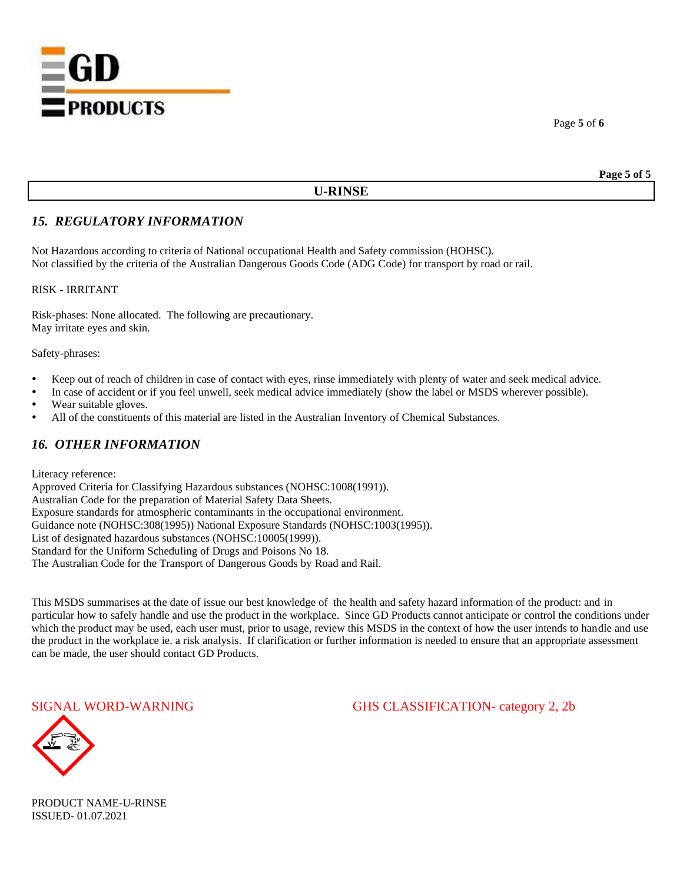

# **U-RINSE**

# *15. REGULATORY INFORMATION*

Not Hazardous according to criteria of National occupational Health and Safety commission (HOHSC). Not classified by the criteria of the Australian Dangerous Goods Code (ADG Code) for transport by road or rail.

RISK - IRRITANT

Risk-phases: None allocated. The following are precautionary. May irritate eyes and skin.

Safety-phrases:

- Keep out of reach of children in case of contact with eyes, rinse immediately with plenty of water and seek medical advice.
- In case of accident or if you feel unwell, seek medical advice immediately (show the label or MSDS wherever possible).
- Wear suitable gloves.
- All of the constituents of this material are listed in the Australian Inventory of Chemical Substances.

### *16. OTHER INFORMATION*

Literacy reference:

Approved Criteria for Classifying Hazardous substances (NOHSC:1008(1991)). Australian Code for the preparation of Material Safety Data Sheets. Exposure standards for atmospheric contaminants in the occupational environment. Guidance note (NOHSC:308(1995)) National Exposure Standards (NOHSC:1003(1995)). List of designated hazardous substances (NOHSC:10005(1999)). Standard for the Uniform Scheduling of Drugs and Poisons No 18. The Australian Code for the Transport of Dangerous Goods by Road and Rail.

This MSDS summarises at the date of issue our best knowledge of the health and safety hazard information of the product: and in particular how to safely handle and use the product in the workplace. Since GD Products cannot anticipate or control the conditions under which the product may be used, each user must, prior to usage, review this MSDS in the context of how the user intends to handle and use the product in the workplace ie. a risk analysis. If clarification or further information is needed to ensure that an appropriate assessment can be made, the user should contact GD Products.

SIGNAL WORD-WARNING GHS CLASSIFICATION- category 2, 2b